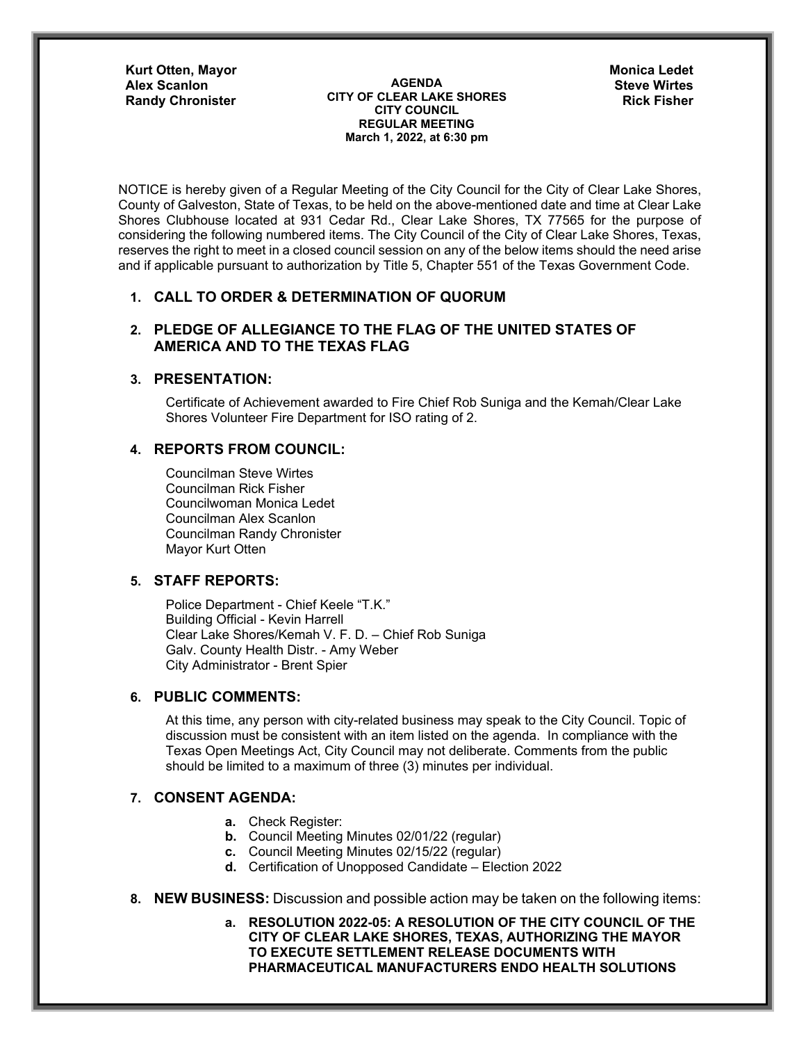**Kurt Otten, Mayor**

**AGENDA CITY OF CLEAR LAKE SHORES CITY COUNCIL REGULAR MEETING March 1, 2022, at 6:30 pm** Alex Scanlon **Steve Wirtes AGENDA** AGENDA **Steve Wirtes Randy Chronister Rick Fisher Rick Fisher Rick Fisher Rick Fisher** 

**Monica Ledet** 

NOTICE is hereby given of a Regular Meeting of the City Council for the City of Clear Lake Shores, County of Galveston, State of Texas, to be held on the above-mentioned date and time at Clear Lake Shores Clubhouse located at 931 Cedar Rd., Clear Lake Shores, TX 77565 for the purpose of considering the following numbered items. The City Council of the City of Clear Lake Shores, Texas, reserves the right to meet in a closed council session on any of the below items should the need arise and if applicable pursuant to authorization by Title 5, Chapter 551 of the Texas Government Code.

# **1. CALL TO ORDER & DETERMINATION OF QUORUM**

## **2. PLEDGE OF ALLEGIANCE TO THE FLAG OF THE UNITED STATES OF AMERICA AND TO THE TEXAS FLAG**

## **3. PRESENTATION:**

 Certificate of Achievement awarded to Fire Chief Rob Suniga and the Kemah/Clear Lake Shores Volunteer Fire Department for ISO rating of 2.

## **4. REPORTS FROM COUNCIL:**

Councilman Steve Wirtes Councilman Rick Fisher Councilwoman Monica Ledet Councilman Alex Scanlon Councilman Randy Chronister Mayor Kurt Otten

# **5. STAFF REPORTS:**

Police Department - Chief Keele "T.K." Building Official - Kevin Harrell Clear Lake Shores/Kemah V. F. D. – Chief Rob Suniga Galv. County Health Distr. - Amy Weber City Administrator - Brent Spier

# **6. PUBLIC COMMENTS:**

At this time, any person with city-related business may speak to the City Council. Topic of discussion must be consistent with an item listed on the agenda. In compliance with the Texas Open Meetings Act, City Council may not deliberate. Comments from the public should be limited to a maximum of three (3) minutes per individual.

#### **7. CONSENT AGENDA:**

- **a.** Check Register:
- **b.** Council Meeting Minutes 02/01/22 (regular)
- **c.** Council Meeting Minutes 02/15/22 (regular)
- **d.** Certification of Unopposed Candidate Election 2022
- **8. NEW BUSINESS:** Discussion and possible action may be taken on the following items:

**a. RESOLUTION 2022-05: A RESOLUTION OF THE CITY COUNCIL OF THE CITY OF CLEAR LAKE SHORES, TEXAS, AUTHORIZING THE MAYOR TO EXECUTE SETTLEMENT RELEASE DOCUMENTS WITH PHARMACEUTICAL MANUFACTURERS ENDO HEALTH SOLUTIONS**